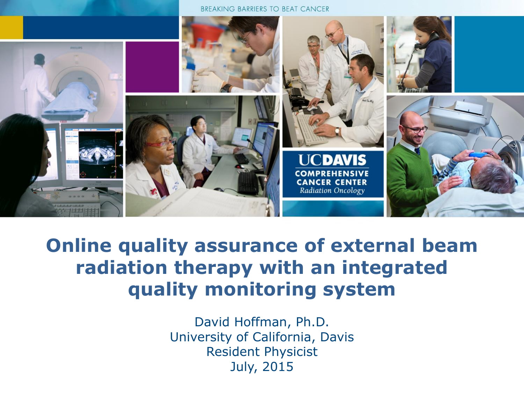#### BREAKING BARRIERS TO BEAT CANCER



# **Online quality assurance of external beam radiation therapy with an integrated quality monitoring system**

David Hoffman, Ph.D. University of California, Davis Resident Physicist July, 2015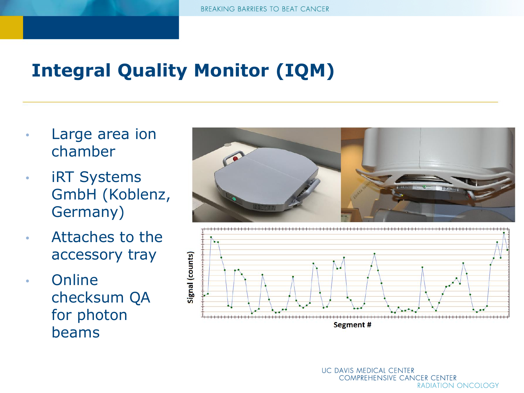# **Integral Quality Monitor (IQM)**

- Large area ion chamber
- iRT Systems GmbH (Koblenz, Germany)
- Attaches to the accessory tray
- Online checksum QA for photon beams



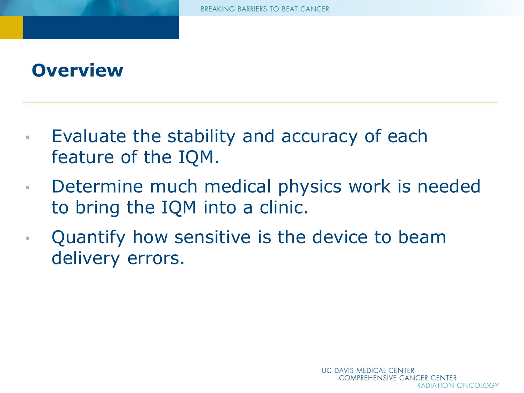#### **Overview**

- Evaluate the stability and accuracy of each feature of the IQM.
- Determine much medical physics work is needed to bring the IQM into a clinic.
- Quantify how sensitive is the device to beam delivery errors.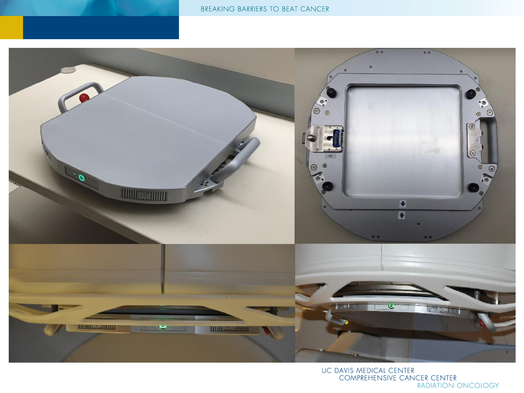

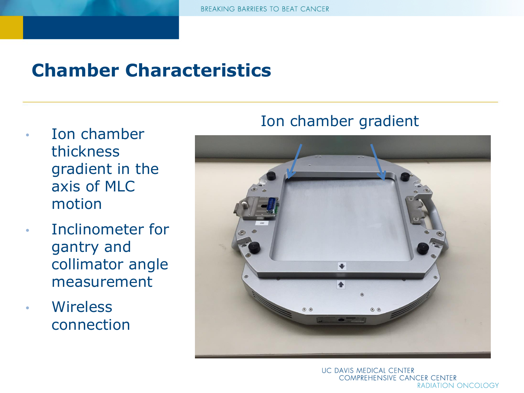#### **Chamber Characteristics**

- Ion chamber thickness gradient in the axis of MLC motion
- Inclinometer for gantry and collimator angle measurement
- Wireless connection

#### Ion chamber gradient

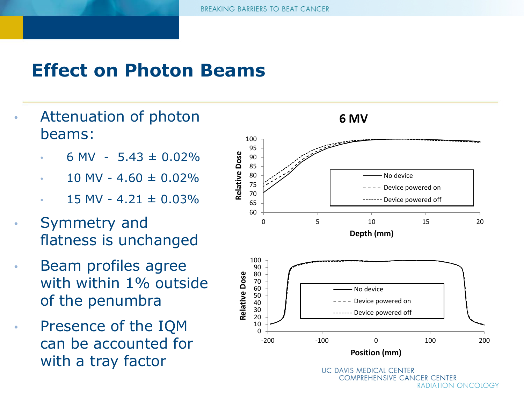#### **Effect on Photon Beams**



- $\cdot$  6 MV 5.43  $\pm$  0.02%
- $\cdot$  10 MV 4.60  $\pm$  0.02%
- $\cdot$  15 MV 4.21  $\pm$  0.03%
- Symmetry and flatness is unchanged
- Beam profiles agree with within 1% outside of the penumbra
- Presence of the IQM can be accounted for with a tray factor

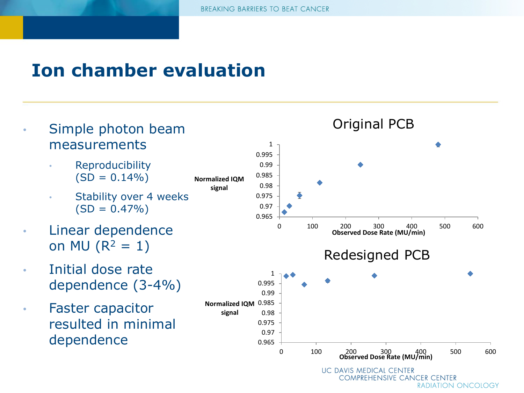#### **Ion chamber evaluation**

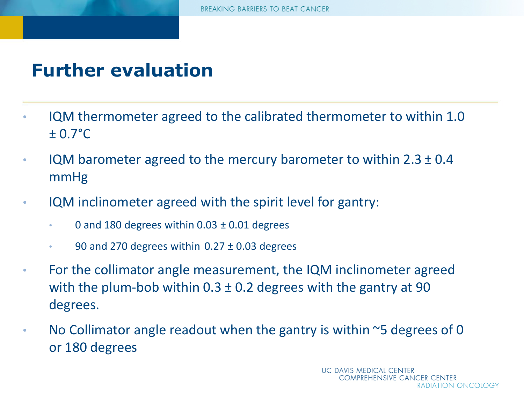## **Further evaluation**

- IQM thermometer agreed to the calibrated thermometer to within 1.0  $± 0.7$ °C
- IQM barometer agreed to the mercury barometer to within  $2.3 \pm 0.4$ mmHg
- IQM inclinometer agreed with the spirit level for gantry:
	- 0 and 180 degrees within 0.03 ± 0.01 degrees
	- 90 and 270 degrees within  $0.27 \pm 0.03$  degrees
- For the collimator angle measurement, the IQM inclinometer agreed with the plum-bob within  $0.3 \pm 0.2$  degrees with the gantry at 90 degrees.
- No Collimator angle readout when the gantry is within  $\sim$ 5 degrees of 0 or 180 degrees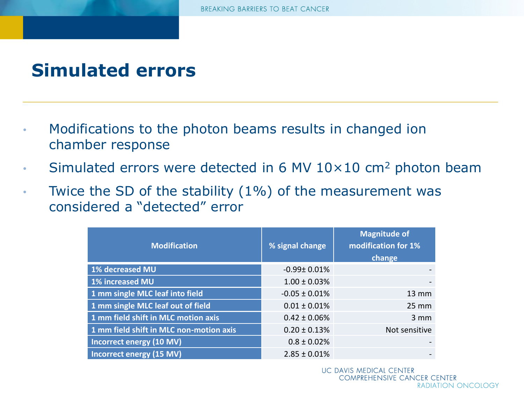#### **Simulated errors**

- Modifications to the photon beams results in changed ion chamber response
- Simulated errors were detected in 6 MV  $10\times10$  cm<sup>2</sup> photon beam
- Twice the SD of the stability (1%) of the measurement was considered a "detected" error

| <b>Modification</b>                     | % signal change    | <b>Magnitude of</b><br>modification for 1%<br>change |
|-----------------------------------------|--------------------|------------------------------------------------------|
| <b>1% decreased MU</b>                  | $-0.99 \pm 0.01\%$ |                                                      |
| <b>1% increased MU</b>                  | $1.00 \pm 0.03\%$  |                                                      |
| 1 mm single MLC leaf into field         | $-0.05 \pm 0.01\%$ | $13 \, \text{mm}$                                    |
| 1 mm single MLC leaf out of field       | $0.01 \pm 0.01\%$  | 25 mm                                                |
| 1 mm field shift in MLC motion axis     | $0.42 \pm 0.06\%$  | $3 \, \text{mm}$                                     |
| 1 mm field shift in MLC non-motion axis | $0.20 \pm 0.13\%$  | Not sensitive                                        |
| <b>Incorrect energy (10 MV)</b>         | $0.8 \pm 0.02\%$   |                                                      |
| Incorrect energy (15 MV)                | $2.85 \pm 0.01\%$  |                                                      |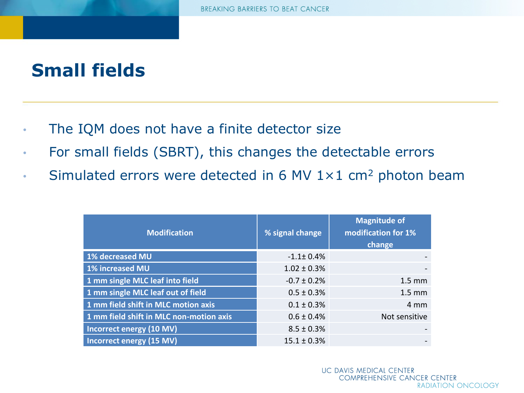## **Small fields**

- The IQM does not have a finite detector size
- For small fields (SBRT), this changes the detectable errors
- Simulated errors were detected in 6 MV  $1 \times 1$  cm<sup>2</sup> photon beam

| <b>Modification</b>                     | % signal change  | <b>Magnitude of</b><br>modification for 1%<br>change |
|-----------------------------------------|------------------|------------------------------------------------------|
| <b>1% decreased MU</b>                  | $-1.1 \pm 0.4\%$ |                                                      |
| <b>1% increased MU</b>                  | $1.02 \pm 0.3\%$ |                                                      |
| 1 mm single MLC leaf into field         | $-0.7 \pm 0.2%$  | $1.5 \text{ mm}$                                     |
| 1 mm single MLC leaf out of field       | $0.5 \pm 0.3\%$  | $1.5 \text{ mm}$                                     |
| 1 mm field shift in MLC motion axis     | $0.1 \pm 0.3\%$  | $4 \text{ mm}$                                       |
| 1 mm field shift in MLC non-motion axis | $0.6 \pm 0.4\%$  | Not sensitive                                        |
| <b>Incorrect energy (10 MV)</b>         | $8.5 \pm 0.3\%$  |                                                      |
| Incorrect energy (15 MV)                | $15.1 \pm 0.3\%$ |                                                      |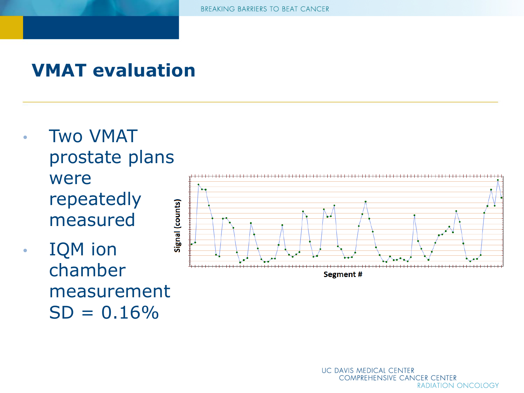# **VMAT evaluation**

- Two VMAT prostate plans were repeatedly measured
- IQM ion chamber measurement  $SD = 0.16%$

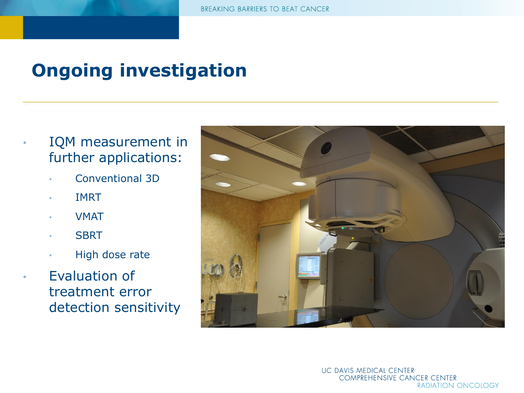## **Ongoing investigation**

#### IQM measurement in further applications:

- Conventional 3D
- **IMRT**
- VMAT
- **SBRT**
- High dose rate
- **Evaluation of** treatment error detection sensitivity